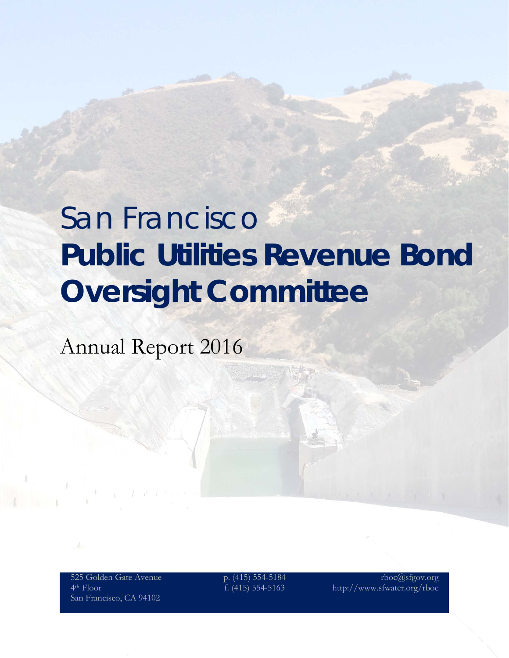# San Francisco **Public Utilities Revenue Bond Oversight Committee**

Annual Report 2016

525 Golden Gate Avenue 4th Floor San Francisco, CA 94102

p. (415) 554-5184 f. (415) 554-5163

rboc@sfgov.org http://www.sfwater.org/rboc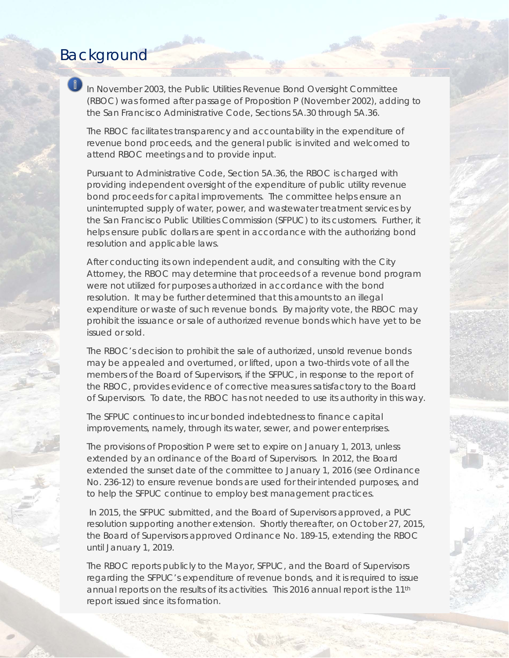### Background

*In November 2003, the Public Utilities Revenue Bond Oversight Committee (RBOC) was formed after passage of Proposition P (November 2002), adding to the San Francisco Administrative Code, Sections 5A.30 through 5A.36.* 

*The RBOC facilitates transparency and accountability in the expenditure of revenue bond proceeds, and the general public is invited and welcomed to attend RBOC meetings and to provide input.* 

*Pursuant to Administrative Code, Section 5A.36, the RBOC is charged with providing independent oversight of the expenditure of public utility revenue bond proceeds for capital improvements. The committee helps ensure an uninterrupted supply of water, power, and wastewater treatment services by the San Francisco Public Utilities Commission (SFPUC) to its customers. Further, it helps ensure public dollars are spent in accordance with the authorizing bond resolution and applicable laws.* 

*After conducting its own independent audit, and consulting with the City Attorney, the RBOC may determine that proceeds of a revenue bond program were not utilized for purposes authorized in accordance with the bond resolution. It may be further determined that this amounts to an illegal expenditure or waste of such revenue bonds. By majority vote, the RBOC may prohibit the issuance or sale of authorized revenue bonds which have yet to be issued or sold.* 

*The RBOC's decision to prohibit the sale of authorized, unsold revenue bonds may be appealed and overturned, or lifted, upon a two-thirds vote of all the members of the Board of Supervisors, if the SFPUC, in response to the report of the RBOC, provides evidence of corrective measures satisfactory to the Board of Supervisors. To date, the RBOC has not needed to use its authority in this way.*

*The SFPUC continues to incur bonded indebtedness to finance capital improvements, namely, through its water, sewer, and power enterprises.* 

*The provisions of Proposition P were set to expire on January 1, 2013, unless extended by an ordinance of the Board of Supervisors. In 2012, the Board extended the sunset date of the committee to January 1, 2016 (see Ordinance No. 236-12) to ensure revenue bonds are used for their intended purposes, and to help the SFPUC continue to employ best management practices.* 

*In 2015, the SFPUC submitted, and the Board of Supervisors approved, a PUC resolution supporting another extension. Shortly thereafter, on October 27, 2015, the Board of Supervisors approved Ordinance No. 189-15, extending the RBOC until January 1, 2019.*

*The RBOC reports publicly to the Mayor, SFPUC, and the Board of Supervisors*  regarding the SFPUC's expenditure of revenue bonds, and it is required to issue *annual reports on the results of its activities. This 2016 annual report is the 11th report issued since its formation.*

RBOC ANNUAL REPORT 2016 2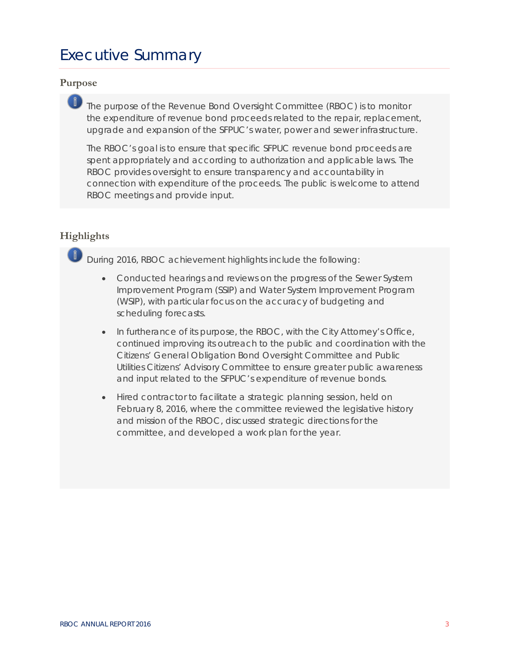### Executive Summary

### **Purpose**

*The purpose of the Revenue Bond Oversight Committee (RBOC) is to monitor the expenditure of revenue bond proceeds related to the repair, replacement, upgrade and expansion of the SFPUC's water, power and sewer infrastructure.* 

*The RBOC's goal is to ensure that specific SFPUC revenue bond proceeds are spent appropriately and according to authorization and applicable laws. The RBOC provides oversight to ensure transparency and accountability in connection with expenditure of the proceeds. The public is welcome to attend RBOC meetings and provide input.*

### **Highlights**

*During 2016, RBOC achievement highlights include the following:*

- *Conducted hearings and reviews on the progress of the Sewer System Improvement Program (SSIP) and Water System Improvement Program (WSIP), with particular focus on the accuracy of budgeting and scheduling forecasts.*
- *In furtherance of its purpose, the RBOC, with the City Attorney's Office, continued improving its outreach to the public and coordination with the Citizens' General Obligation Bond Oversight Committee and Public Utilities Citizens' Advisory Committee to ensure greater public awareness and input related to the SFPUC's expenditure of revenue bonds.*
- *Hired contractor to facilitate a strategic planning session, held on February 8, 2016, where the committee reviewed the legislative history and mission of the RBOC, discussed strategic directions for the committee, and developed a work plan for the year.*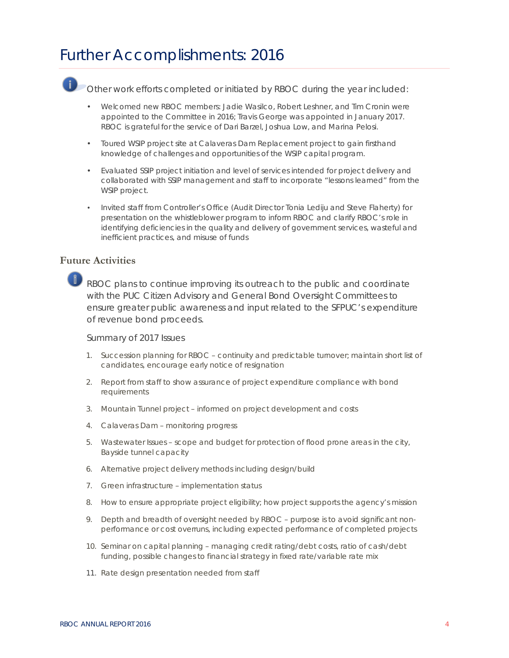### Further Accomplishments: 2016

Other work efforts completed or initiated by RBOC during the year included:

- Welcomed new RBOC members: Jadie Wasilco, Robert Leshner, and Tim Cronin were appointed to the Committee in 2016; Travis George was appointed in January 2017. RBOC is grateful for the service of Dari Barzel, Joshua Low, and Marina Pelosi.
- Toured WSIP project site at Calaveras Dam Replacement project to gain firsthand knowledge of challenges and opportunities of the WSIP capital program.
- Evaluated SSIP project initiation and level of services intended for project delivery and collaborated with SSIP management and staff to incorporate "lessons learned" from the WSIP project.
- Invited staff from Controller's Office (Audit Director Tonia Lediju and Steve Flaherty) for presentation on the whistleblower program to inform RBOC and clarify RBOC's role in identifying deficiencies in the quality and delivery of government services, wasteful and inefficient practices, and misuse of funds

### **Future Activities**

 $\bigcirc$  RBOC plans to continue improving its outreach to the public and coordinate with the PUC Citizen Advisory and General Bond Oversight Committees to ensure greater public awareness and input related to the SFPUC's expenditure of revenue bond proceeds.

### Summary of 2017 Issues

- *1. Succession planning for RBOC – continuity and predictable turnover; maintain short list of candidates, encourage early notice of resignation*
- *2. Report from staff to show assurance of project expenditure compliance with bond requirements*
- *3. Mountain Tunnel project – informed on project development and costs*
- *4. Calaveras Dam – monitoring progress*
- *5. Wastewater Issues – scope and budget for protection of flood prone areas in the city, Bayside tunnel capacity*
- *6. Alternative project delivery methods including design/build*
- *7. Green infrastructure – implementation status*
- *8. How to ensure appropriate project eligibility; how project supports the agency's mission*
- *9. Depth and breadth of oversight needed by RBOC – purpose is to avoid significant nonperformance or cost overruns, including expected performance of completed projects*
- *10. Seminar on capital planning – managing credit rating/debt costs, ratio of cash/debt funding, possible changes to financial strategy in fixed rate/variable rate mix*
- 11. *Rate design presentation needed from staff*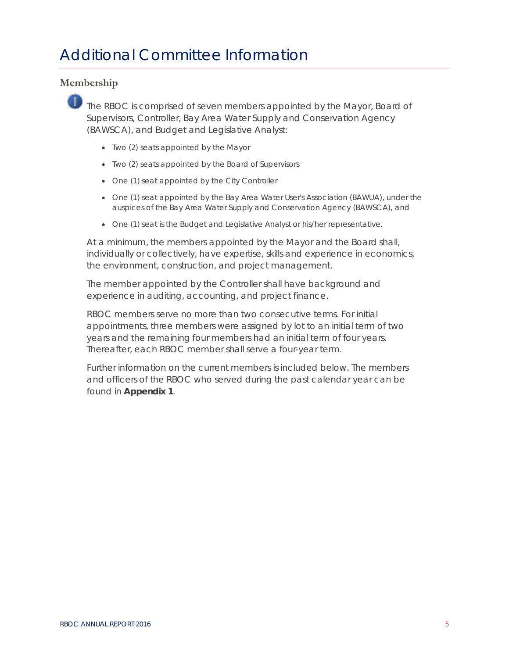### **Membership**

The RBOC is comprised of seven members appointed by the Mayor, Board of Supervisors, Controller, Bay Area Water Supply and Conservation Agency (BAWSCA), and Budget and Legislative Analyst:

- Two (2) seats appointed by the Mayor
- Two (2) seats appointed by the Board of Supervisors
- One (1) seat appointed by the City Controller
- One (1) seat appointed by the Bay Area Water User's Association (BAWUA), under the auspices of the Bay Area Water Supply and Conservation Agency (BAWSCA), and
- One (1) seat is the Budget and Legislative Analyst or his/her representative.

At a minimum, the members appointed by the Mayor and the Board shall, individually or collectively, have expertise, skills and experience in economics, the environment, construction, and project management.

The member appointed by the Controller shall have background and experience in auditing, accounting, and project finance.

RBOC members serve no more than two consecutive terms. For initial appointments, three members were assigned by lot to an initial term of two years and the remaining four members had an initial term of four years. Thereafter, each RBOC member shall serve a four-year term.

Further information on the current members is included below. The members and officers of the RBOC who served during the past calendar year can be found in **Appendix 1**.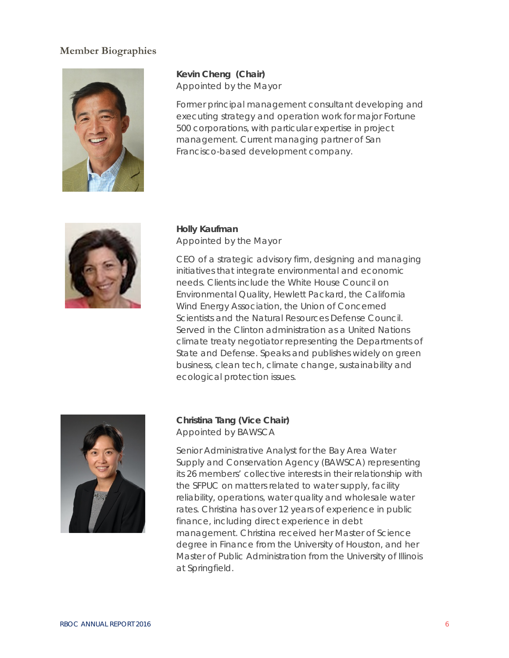### **Member Biographies**



**Kevin Cheng (Chair)** Appointed by the Mayor

Former principal management consultant developing and executing strategy and operation work for major Fortune 500 corporations, with particular expertise in project management. Current managing partner of San Francisco-based development company.



### **Holly Kaufman** Appointed by the Mayor

CEO of a strategic advisory firm, designing and managing initiatives that integrate environmental and economic needs. Clients include the White House Council on Environmental Quality, Hewlett Packard, the California Wind Energy Association, the Union of Concerned Scientists and the Natural Resources Defense Council. Served in the Clinton administration as a United Nations climate treaty negotiator representing the Departments of State and Defense. Speaks and publishes widely on green business, clean tech, climate change, sustainability and ecological protection issues.



### **Christina Tang (Vice Chair)** Appointed by BAWSCA

Senior Administrative Analyst for the Bay Area Water Supply and Conservation Agency (BAWSCA) representing its 26 members' collective interests in their relationship with the SFPUC on matters related to water supply, facility reliability, operations, water quality and wholesale water rates. Christina has over 12 years of experience in public finance, including direct experience in debt management. Christina received her Master of Science degree in Finance from the University of Houston, and her Master of Public Administration from the University of Illinois at Springfield.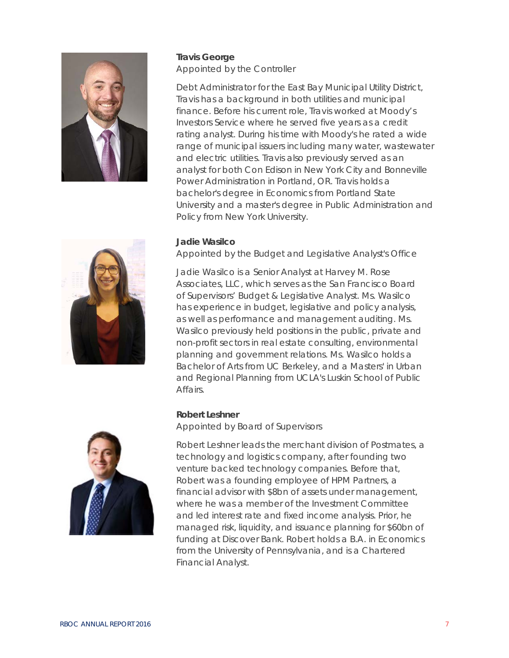

### **Travis George** Appointed by the Controller

Debt Administrator for the East Bay Municipal Utility District, Travis has a background in both utilities and municipal finance. Before his current role, Travis worked at Moody's Investors Service where he served five years as a credit rating analyst. During his time with Moody's he rated a wide range of municipal issuers including many water, wastewater and electric utilities. Travis also previously served as an analyst for both Con Edison in New York City and Bonneville Power Administration in Portland, OR. Travis holds a bachelor's degree in Economics from Portland State University and a master's degree in Public Administration and Policy from New York University.

### **Jadie Wasilco**

Appointed by the Budget and Legislative Analyst's Office

Jadie Wasilco is a Senior Analyst at Harvey M. Rose Associates, LLC, which serves as the San Francisco Board of Supervisors' Budget & Legislative Analyst. Ms. Wasilco has experience in budget, legislative and policy analysis, as well as performance and management auditing. Ms. Wasilco previously held positions in the public, private and non-profit sectors in real estate consulting, environmental planning and government relations. Ms. Wasilco holds a Bachelor of Arts from UC Berkeley, and a Masters' in Urban and Regional Planning from UCLA's Luskin School of Public Affairs.

### **Robert Leshner**

Appointed by Board of Supervisors



Robert Leshner leads the merchant division of Postmates, a technology and logistics company, after founding two venture backed technology companies. Before that, Robert was a founding employee of HPM Partners, a financial advisor with \$8bn of assets under management, where he was a member of the Investment Committee and led interest rate and fixed income analysis. Prior, he managed risk, liquidity, and issuance planning for \$60bn of funding at Discover Bank. Robert holds a B.A. in Economics from the University of Pennsylvania, and is a Chartered Financial Analyst.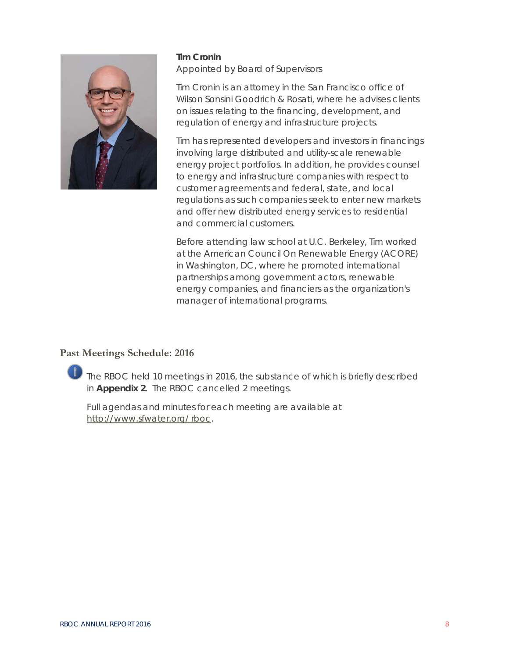

### **Tim Cronin** Appointed by Board of Supervisors

Tim Cronin is an attorney in the San Francisco office of Wilson Sonsini Goodrich & Rosati, where he advises clients on issues relating to the financing, development, and regulation of energy and infrastructure projects.

Tim has represented developers and investors in financings involving large distributed and utility-scale renewable energy project portfolios. In addition, he provides counsel to energy and infrastructure companies with respect to customer agreements and federal, state, and local regulations as such companies seek to enter new markets and offer new distributed energy services to residential and commercial customers.

Before attending law school at U.C. Berkeley, Tim worked at the American Council On Renewable Energy (ACORE) in Washington, DC, where he promoted international partnerships among government actors, renewable energy companies, and financiers as the organization's manager of international programs.

### **Past Meetings Schedule: 2016**

The RBOC held 10 meetings in 2016, the substance of which is briefly described in **Appendix 2**. The RBOC cancelled 2 meetings.

Full agendas and minutes for each meeting are available at [http://www.sfwater.org/](http://www.sfwater.org/%20rboc) rboc.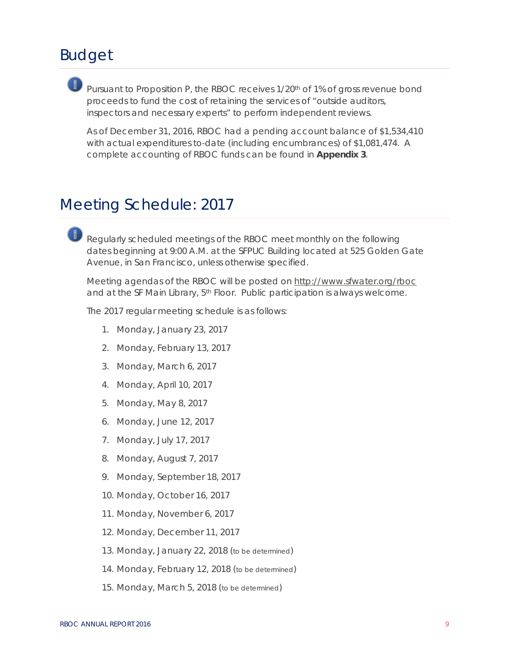### Budget

Pursuant to Proposition P, the RBOC receives  $1/20$ <sup>th</sup> of 1% of gross revenue bond proceeds to fund the cost of retaining the services of "outside auditors, inspectors and necessary experts" to perform independent reviews.

As of December 31, 2016, RBOC had a pending account balance of \$1,534,410 with actual expenditures to-date (including encumbrances) of \$1,081,474. A complete accounting of RBOC funds can be found in **Appendix 3**.

### Meeting Schedule: 2017

Requiarly scheduled meetings of the RBOC meet monthly on the following dates beginning at 9:00 A.M. at the SFPUC Building located at 525 Golden Gate Avenue, in San Francisco, unless otherwise specified.

Meeting agendas of the RBOC will be posted on<http://www.sfwater.org/rboc> and at the SF Main Library, 5th Floor. Public participation is always welcome.

The 2017 regular meeting schedule is as follows:

- *1. Monday, January 23, 2017*
- *2. Monday, February 13, 2017*
- *3. Monday, March 6, 2017*
- *4. Monday, April 10, 2017*
- *5. Monday, May 8, 2017*
- *6. Monday, June 12, 2017*
- *7. Monday, July 17, 2017*
- *8. Monday, August 7, 2017*
- *9. Monday, September 18, 2017*
- *10. Monday, October 16, 2017*
- *11. Monday, November 6, 2017*
- *12. Monday, December 11, 2017*
- *13. Monday, January 22, 2018 (to be determined)*
- *14. Monday, February 12, 2018 (to be determined)*
- *15. Monday, March 5, 2018 (to be determined)*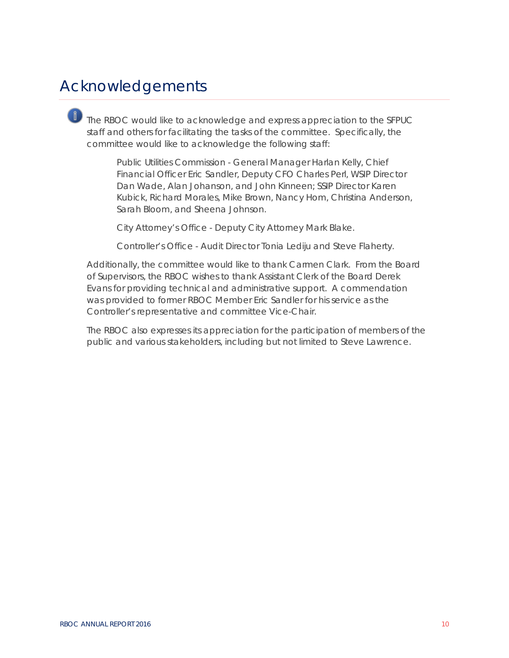### Acknowledgements

The RBOC would like to acknowledge and express appreciation to the SFPUC staff and others for facilitating the tasks of the committee. Specifically, the committee would like to acknowledge the following staff:

> *Public Utilities Commission -* General Manager Harlan Kelly, Chief Financial Officer Eric Sandler, Deputy CFO Charles Perl, WSIP Director Dan Wade, Alan Johanson, and John Kinneen; SSIP Director Karen Kubick, Richard Morales, Mike Brown, Nancy Hom, Christina Anderson, Sarah Bloom, and Sheena Johnson.

*City Attorney's Office -* Deputy City Attorney Mark Blake.

*Controller's Office -* Audit Director Tonia Lediju and Steve Flaherty.

Additionally, the committee would like to thank Carmen Clark. From the Board of Supervisors, the RBOC wishes to thank Assistant Clerk of the Board Derek Evans for providing technical and administrative support. A commendation was provided to former RBOC Member Eric Sandler for his service as the Controller's representative and committee Vice-Chair.

The RBOC also expresses its appreciation for the participation of members of the public and various stakeholders, including but not limited to Steve Lawrence.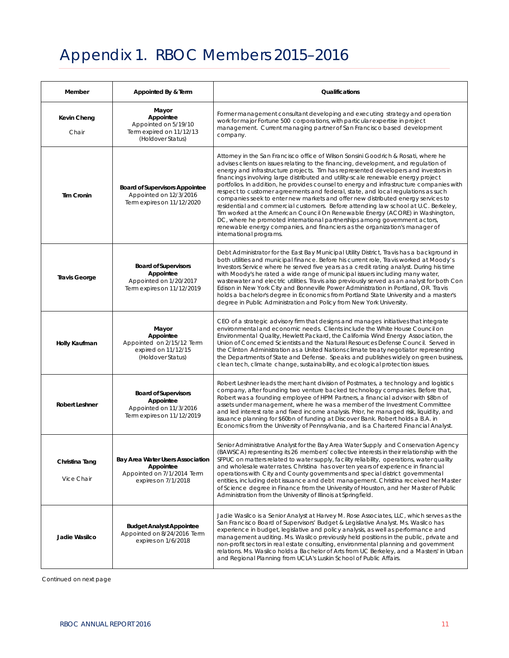### Appendix 1. RBOC Members 2015–2016

| Member                       | Appointed By & Term                                                                                | Qualifications                                                                                                                                                                                                                                                                                                                                                                                                                                                                                                                                                                                                                                                                                                                                                                                                                                                                                                                                                                           |  |  |
|------------------------------|----------------------------------------------------------------------------------------------------|------------------------------------------------------------------------------------------------------------------------------------------------------------------------------------------------------------------------------------------------------------------------------------------------------------------------------------------------------------------------------------------------------------------------------------------------------------------------------------------------------------------------------------------------------------------------------------------------------------------------------------------------------------------------------------------------------------------------------------------------------------------------------------------------------------------------------------------------------------------------------------------------------------------------------------------------------------------------------------------|--|--|
| <b>Kevin Cheng</b><br>Chair  | Mayor<br>Appointee<br>Appointed on 5/19/10<br>Term expired on 11/12/13<br>(Holdover Status)        | Former management consultant developing and executing strategy and operation<br>work for major Fortune 500 corporations, with particular expertise in project<br>management. Current managing partner of San Francisco based development<br>company.                                                                                                                                                                                                                                                                                                                                                                                                                                                                                                                                                                                                                                                                                                                                     |  |  |
| <b>Tim Cronin</b>            | <b>Board of Supervisors Appointee</b><br>Appointed on 12/3/2016<br>Term expires on 11/12/2020      | Attorney in the San Francisco office of Wilson Sonsini Goodrich & Rosati, where he<br>advises clients on issues relating to the financing, development, and regulation of<br>energy and infrastructure projects. Tim has represented developers and investors in<br>financings involving large distributed and utility-scale renewable energy project<br>portfolios. In addition, he provides counsel to energy and infrastructure companies with<br>respect to customer agreements and federal, state, and local regulations as such<br>companies seek to enter new markets and offer new distributed energy services to<br>residential and commercial customers. Before attending law school at U.C. Berkeley,<br>Tim worked at the American Council On Renewable Energy (ACORE) in Washington,<br>DC, where he promoted international partnerships among government actors,<br>renewable energy companies, and financiers as the organization's manager of<br>international programs. |  |  |
| <b>Travis George</b>         | <b>Board of Supervisors</b><br>Appointee<br>Appointed on 1/20/2017<br>Term expires on 11/12/2019   | Debt Administrator for the East Bay Municipal Utility District, Travis has a background in<br>both utilities and municipal finance. Before his current role, Travis worked at Moody's<br>Investors Service where he served five years as a credit rating analyst. During his time<br>with Moody's he rated a wide range of municipal issuers including many water,<br>wastewater and electric utilities. Travis also previously served as an analyst for both Con<br>Edison in New York City and Bonneville Power Administration in Portland, OR. Travis<br>holds a bachelor's degree in Economics from Portland State University and a master's<br>degree in Public Administration and Policy from New York University.                                                                                                                                                                                                                                                                 |  |  |
| Holly Kaufman                | Mayor<br>Appointee<br>Appointed on 2/15/12 Term<br>expired on 11/12/15<br>(Holdover Status)        | CEO of a strategic advisory firm that designs and manages initiatives that integrate<br>environmental and economic needs. Clients include the White House Council on<br>Environmental Quality, Hewlett Packard, the California Wind Energy Association, the<br>Union of Concerned Scientists and the Natural Resources Defense Council. Served in<br>the Clinton Administration as a United Nations climate treaty negotiator representing<br>the Departments of State and Defense. Speaks and publishes widely on green business,<br>clean tech, climate change, sustainability, and ecological protection issues.                                                                                                                                                                                                                                                                                                                                                                      |  |  |
| <b>Robert Leshner</b>        | <b>Board of Supervisors</b><br>Appointee<br>Appointed on 11/3/2016<br>Term expires on 11/12/2019   | Robert Leshner leads the merchant division of Postmates, a technology and logistics<br>company, after founding two venture backed technology companies. Before that,<br>Robert was a founding employee of HPM Partners, a financial advisor with \$8bn of<br>assets under management, where he was a member of the Investment Committee<br>and led interest rate and fixed income analysis. Prior, he managed risk, liquidity, and<br>issuance planning for \$60bn of funding at Discover Bank. Robert holds a B.A. in<br>Economics from the University of Pennsylvania, and is a Chartered Financial Analyst.                                                                                                                                                                                                                                                                                                                                                                           |  |  |
| Christina Tang<br>Vice Chair | Bay Area Water Users Association<br>Appointee<br>Appointed on 7/1/2014 Term<br>expires on 7/1/2018 | Senior Administrative Analyst for the Bay Area Water Supply and Conservation Agency<br>(BAWSCA) representing its 26 members' collective interests in their relationship with the<br>SFPUC on matters related to water supply, facility reliability, operations, water quality<br>and wholesale water rates. Christina has over ten years of experience in financial<br>operations with City and County governments and special district governmental<br>entities, including debt issuance and debt management. Christina received her Master<br>of Science degree in Finance from the University of Houston, and her Master of Public<br>Administration from the University of Illinois at Springfield.                                                                                                                                                                                                                                                                                  |  |  |
| Jadie Wasilco                | <b>Budget Analyst Appointee</b><br>Appointed on 8/24/2016 Term<br>expires on 1/6/2018              | Jadie Wasilco is a Senior Analyst at Harvey M. Rose Associates, LLC, which serves as the<br>San Francisco Board of Supervisors' Budget & Legislative Analyst. Ms. Wasilco has<br>experience in budget, legislative and policy analysis, as well as performance and<br>management auditing. Ms. Wasilco previously held positions in the public, private and<br>non-profit sectors in real estate consulting, environmental planning and government<br>relations. Ms. Wasilco holds a Bachelor of Arts from UC Berkeley, and a Masters' in Urban<br>and Regional Planning from UCLA's Luskin School of Public Affairs.                                                                                                                                                                                                                                                                                                                                                                    |  |  |

Continued on next page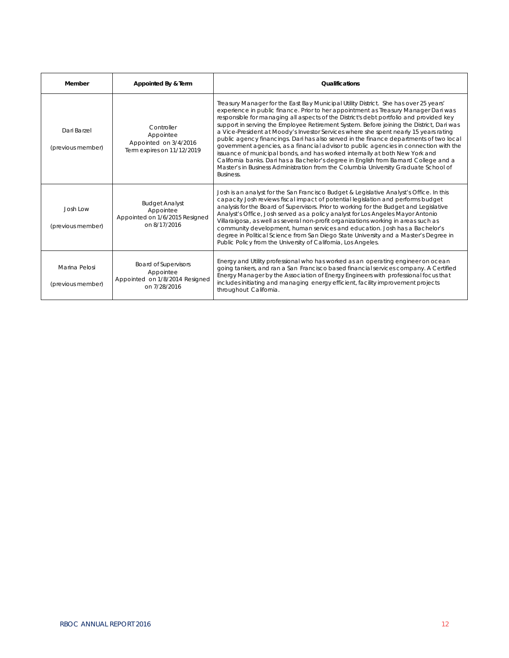| Member                             | Appointed By & Term                                                                        | <b>Qualifications</b>                                                                                                                                                                                                                                                                                                                                                                                                                                                                                                                                                                                                                                                                                                                                                                                                                                                                                                   |
|------------------------------------|--------------------------------------------------------------------------------------------|-------------------------------------------------------------------------------------------------------------------------------------------------------------------------------------------------------------------------------------------------------------------------------------------------------------------------------------------------------------------------------------------------------------------------------------------------------------------------------------------------------------------------------------------------------------------------------------------------------------------------------------------------------------------------------------------------------------------------------------------------------------------------------------------------------------------------------------------------------------------------------------------------------------------------|
| Dari Barzel<br>(previous member)   | Controller<br>Appointee<br>Appointed on 3/4/2016<br>Term expires on 11/12/2019             | Treasury Manager for the East Bay Municipal Utility District. She has over 25 years'<br>experience in public finance. Prior to her appointment as Treasury Manager Dari was<br>responsible for managing all aspects of the District's debt portfolio and provided key<br>support in serving the Employee Retirement System. Before joining the District, Dari was<br>a Vice-President at Moody's Investor Services where she spent nearly 15 years rating<br>public agency financings. Dari has also served in the finance departments of two local<br>government agencies, as a financial advisor to public agencies in connection with the<br>issuance of municipal bonds, and has worked internally at both New York and<br>California banks. Dari has a Bachelor's degree in English from Barnard College and a<br>Master's in Business Administration from the Columbia University Graduate School of<br>Business. |
| Josh Low<br>(previous member)      | <b>Budget Analyst</b><br>Appointee<br>Appointed on 1/6/2015 Resigned<br>on 8/17/2016       | Josh is an analyst for the San Francisco Budget & Legislative Analyst's Office. In this<br>capacity Josh reviews fiscal impact of potential legislation and performs budget<br>analysis for the Board of Supervisors. Prior to working for the Budget and Legislative<br>Analyst's Office, Josh served as a policy analyst for Los Angeles Mayor Antonio<br>Villaraigosa, as well as several non-profit organizations working in areas such as<br>community development, human services and education. Josh has a Bachelor's<br>degree in Political Science from San Diego State University and a Master's Degree in<br>Public Policy from the University of California, Los Angeles.                                                                                                                                                                                                                                   |
| Marina Pelosi<br>(previous member) | <b>Board of Supervisors</b><br>Appointee<br>Appointed on 1/8/2014 Resigned<br>on 7/28/2016 | Energy and Utility professional who has worked as an operating engineer on ocean<br>going tankers, and ran a San Francisco based financial services company. A Certified<br>Energy Manager by the Association of Energy Engineers with professional focus that<br>includes initiating and managing energy efficient, facility improvement projects<br>throughout California.                                                                                                                                                                                                                                                                                                                                                                                                                                                                                                                                            |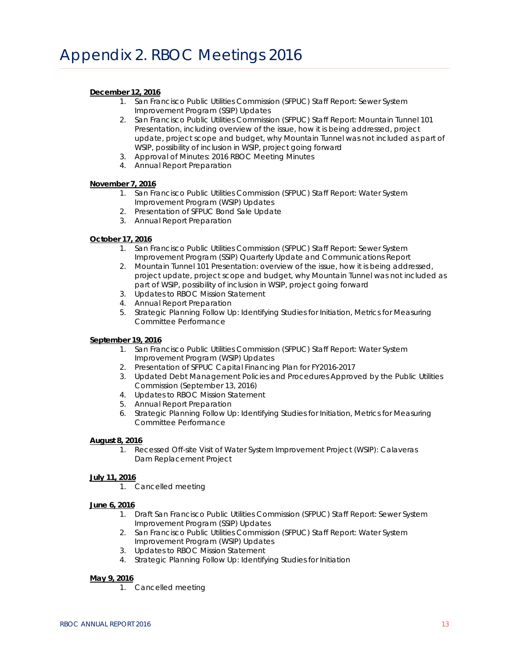### **[December](http://www.sfbos.org/Modules/ShowDocument.aspx?documentid=50911) 12, 2016**

- 1. San Francisco Public Utilities Commission (SFPUC) Staff Report: Sewer System Improvement Program (SSIP) Updates
- 2. San Francisco Public Utilities Commission (SFPUC) Staff Report: Mountain Tunnel 101 Presentation, including overview of the issue, how it is being addressed, project update, project scope and budget, why Mountain Tunnel was not included as part of WSIP, possibility of inclusion in WSIP, project going forward
- 3. Approval of Minutes: 2016 RBOC Meeting Minutes
- 4. Annual Report Preparation

### **[November](http://sfwater.org/modules/showdocument.aspx?documentid=6259) 7, 2016**

- 1. San Francisco Public Utilities Commission (SFPUC) Staff Report: Water System Improvement Program (WSIP) Updates
- 2. Presentation of SFPUC Bond Sale Update
- 3. Annual Report Preparation

### **[October 17, 2016](http://www.sfbos.org/Modules/ShowDocument.aspx?documentid=50913)**

- 1. San Francisco Public Utilities Commission (SFPUC) Staff Report: Sewer System Improvement Program (SSIP) Quarterly Update and Communications Report
- 2. Mountain Tunnel 101 Presentation: overview of the issue, how it is being addressed, project update, project scope and budget, why Mountain Tunnel was not included as part of WSIP, possibility of inclusion in WSIP, project going forward
- 3. Updates to RBOC Mission Statement
- 4. Annual Report Preparation
- 5. Strategic Planning Follow Up: Identifying Studies for Initiation, Metrics for Measuring Committee Performance

#### **[September](http://www.sfbos.org/Modules/ShowDocument.aspx?documentid=50915) 19, 2016**

- 1. San Francisco Public Utilities Commission (SFPUC) Staff Report: Water System Improvement Program (WSIP) Updates
- 2. Presentation of SFPUC Capital Financing Plan for FY2016-2017
- 3. Updated Debt Management Policies and Procedures Approved by the Public Utilities Commission (September 13, 2016)
- 4. Updates to RBOC Mission Statement
- 5. Annual Report Preparation
- 6. Strategic Planning Follow Up: Identifying Studies for Initiation, Metrics for Measuring Committee Performance

#### **[August](http://www.sfbos.org/Modules/ShowDocument.aspx?documentid=50905) 8, 2016**

1. Recessed Off-site Visit of Water System Improvement Project (WSIP): Calaveras Dam Replacement Project

#### **[July](http://www.sfbos.org/Modules/ShowDocument.aspx?documentid=51056) 11, 2016**

1. Cancelled meeting

#### **[June](http://www.sfbos.org/Modules/ShowDocument.aspx?documentid=51056) 6, 2016**

- 1. Draft San Francisco Public Utilities Commission (SFPUC) Staff Report: Sewer System Improvement Program (SSIP) Updates
- 2. San Francisco Public Utilities Commission (SFPUC) Staff Report: Water System Improvement Program (WSIP) Updates
- 3. Updates to RBOC Mission Statement
- 4. Strategic Planning Follow Up: Identifying Studies for Initiation

### **[May](http://www.sfbos.org/Modules/ShowDocument.aspx?documentid=51418) 9, 2016**

1. Cancelled meeting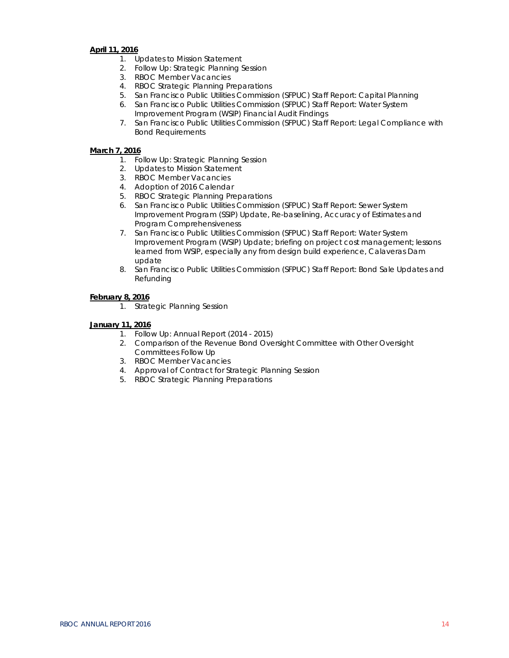### **[April](http://www.sfbos.org/Modules/ShowDocument.aspx?documentid=51556) 11, 2016**

- 1. Updates to Mission Statement
- 2. Follow Up: Strategic Planning Session
- 3. RBOC Member Vacancies
- 4. RBOC Strategic Planning Preparations
- 5. San Francisco Public Utilities Commission (SFPUC) Staff Report: Capital Planning
- 6. San Francisco Public Utilities Commission (SFPUC) Staff Report: Water System Improvement Program (WSIP) Financial Audit Findings
- 7. San Francisco Public Utilities Commission (SFPUC) Staff Report: Legal Compliance with Bond Requirements

### **March 7, 2016**

- 1. Follow Up: Strategic Planning Session
- 2. Updates to Mission Statement
- 3. RBOC Member Vacancies
- 4. Adoption of 2016 Calendar
- 5. RBOC Strategic Planning Preparations
- 6. San Francisco Public Utilities Commission (SFPUC) Staff Report: Sewer System Improvement Program (SSIP) Update, Re-baselining, Accuracy of Estimates and Program Comprehensiveness
- 7. San Francisco Public Utilities Commission (SFPUC) Staff Report: Water System Improvement Program (WSIP) Update; briefing on project cost management; lessons learned from WSIP, especially any from design build experience, Calaveras Dam update
- 8. San Francisco Public Utilities Commission (SFPUC) Staff Report: Bond Sale Updates and Refunding

### **[February](http://www.sfbos.org/Modules/ShowDocument.aspx?documentid=52265) 8, 2016**

1. Strategic Planning Session

### **[January](http://www.sfbos.org/Modules/ShowDocument.aspx?documentid=52560) 11, 2016**

- 1. Follow Up: Annual Report (2014 2015)
- 2. Comparison of the Revenue Bond Oversight Committee with Other Oversight Committees Follow Up
- 3. RBOC Member Vacancies
- 4. Approval of Contract for Strategic Planning Session
- 5. RBOC Strategic Planning Preparations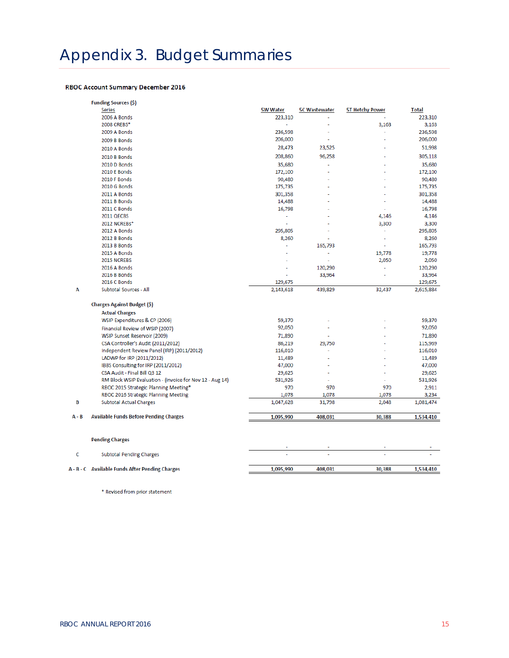### **RBOC Account Summary December 2016**

|         | <b>Funding Sources (\$)</b><br>Series                    | <b>5W Water</b> | <b>5C Wastewater</b> | <b>5T Hetchy Power</b> | <b>Total</b> |
|---------|----------------------------------------------------------|-----------------|----------------------|------------------------|--------------|
|         | 2006 A Bonds                                             | 223,310         |                      |                        | 223,310      |
|         | 2008 CREBS*                                              | ä,              |                      | 3,163                  | 3,163        |
|         | 2009 A Bonds                                             | 236,598         |                      |                        | 236,598      |
|         | 2009 B Bonds                                             | 206,000         | ÷.                   |                        | 206,000      |
|         | 2010 A Bonds                                             | 28,473          | 23,525               |                        | 51,998       |
|         | 2010 B Bonds                                             | 208,860         | 96,258               |                        | 305,118      |
|         | 2010 D Bonds                                             | 35,680          |                      |                        | 35,680       |
|         | 2010 E Bonds                                             | 172,100         |                      |                        | 172,100      |
|         | 2010 F Bonds                                             | 90,480          |                      |                        | 90,480       |
|         | 2010 G Bonds                                             | 175,735         |                      |                        | 175,735      |
|         | 2011 A Bonds                                             | 301,358         |                      |                        | 301,358      |
|         | 2011 B Bonds                                             | 14,488          |                      |                        | 14,488       |
|         | 2011 C Bonds                                             | 16,798          |                      | ÷,                     | 16,798       |
|         | 2011 QECBS                                               | ä,              |                      | 4,146                  | 4,146        |
|         | 2012 NCREBs*                                             |                 |                      | 3,300                  | 3,300        |
|         | 2012 A Bonds                                             | 295,805         |                      |                        | 295,805      |
|         | 2012 B Bonds                                             | 8,260           |                      | ٠                      | 8,260        |
|         | 2013 B Bonds                                             |                 | 165,793              |                        | 165,793      |
|         | 2015 A Bonds                                             |                 |                      | 19,778                 | 19,778       |
|         | 2015 NCREBS                                              |                 |                      | 2,050                  | 2,050        |
|         | 2016 A Bonds                                             |                 | 120,290              | ä,                     | 120,290      |
|         | 2016 B Bonds                                             |                 | 33,964               |                        | 33,964       |
|         | 2016 C Bonds                                             | 129,675         |                      |                        | 129,675      |
| Α       | Subtotal Sources - All                                   | 2,143,618       | 439,829              | 32,437                 | 2,615,884    |
|         | Charges Against Budget (\$)                              |                 |                      |                        |              |
|         | <b>Actual Charges</b>                                    |                 |                      |                        |              |
|         | WSIP Expenditures & CP (2006)                            | 59,370          |                      |                        | 59,370       |
|         | Financial Review of WSIP (2007)                          | 92,050          |                      |                        | 92,050       |
|         | WSIP Sunset Reservoir (2009)                             | 71,890          |                      |                        | 71,890       |
|         | CSA Controller's Audit (2011/2012)                       | 86,219          | 29,750               |                        | 115,969      |
|         | Independent Review Panel (IRP) (2011/2012)               | 116,010         |                      |                        | 116,010      |
|         | LADWP for IRP (2011/2012)                                | 11,489          |                      |                        | 11,489       |
|         | IBBS Consulting for IRP (2011/2012)                      | 47,000          |                      |                        | 47,000       |
|         | CSA Audit - Final Bill Q3 12                             | 29,625          |                      |                        | 29,625       |
|         | RM Block WSIP Evaluation - (invoice for Nov 12 - Aug 14) | 531,926         | ÷                    | ä,                     | 531,926      |
|         | RBOC 2015 Strategic Planning Meeting*                    | 970             | 970                  | 970                    | 2,911        |
|         | RBOC 2016 Strategic Planning Meeting                     | 1,078           | 1,078                | 1,078                  | 3,234        |
| В       | <b>Subtotal Actual Charges</b>                           | 1,047,628       | 31,798               | 2,048                  | 1,081,474    |
| $A - B$ | <b>Available Funds Before Pending Charges</b>            |                 |                      |                        |              |
|         |                                                          | 1,095,990       | 408,031              | 30,388                 | 1,534,410    |
|         | <b>Pending Charges</b>                                   |                 |                      |                        |              |
|         |                                                          |                 |                      |                        |              |
| c       | <b>Subtotal Pending Charges</b>                          |                 |                      |                        |              |
|         | A - B - C Available Funds After Pending Charges          | 1,095,990       | 408.031              | 30,388                 | 1,534,410    |

\* Revised from prior statement

 $A -$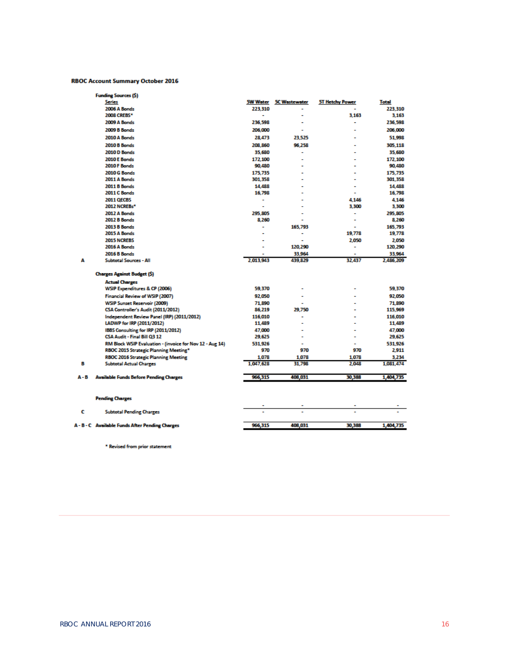#### **RBOC Account Summary October 2016**

|     | <b>Funding Sources (\$)</b>                                                                       |                                     |                          |                        |                     |
|-----|---------------------------------------------------------------------------------------------------|-------------------------------------|--------------------------|------------------------|---------------------|
|     | <b>Series</b>                                                                                     | <b>5W Water</b>                     | <b>5C Wastewater</b>     | <b>5T Hetchy Power</b> | <b>Total</b>        |
|     | 2006 A Bonds                                                                                      | 223.310<br>$\overline{\phantom{a}}$ | ٠                        |                        | 223.310             |
|     | <b>2008 CREBS*</b>                                                                                |                                     | $\blacksquare$           | 3.163                  | 3.163               |
|     | 2009 A Bonds                                                                                      | 236.598                             | $\overline{a}$           | ٠                      | 236,598             |
|     | <b>2009 B Bonds</b>                                                                               | 206,000                             | $\overline{a}$           | $\overline{a}$         | 206,000             |
|     | 2010 A Bonds                                                                                      | 28,473                              | 23.525                   |                        | 51,998              |
|     | <b>2010 B Bonds</b>                                                                               | 208,860                             | 96,258                   | $\overline{a}$         | 305.118             |
|     | 2010 D Bonds                                                                                      | 35.680                              | ÷                        | ٠                      | 35,680              |
|     | 2010 E Bonds                                                                                      | 172.100                             |                          | ٠                      | 172.100             |
|     | 2010 F Bonds                                                                                      | 90,480                              | ٠                        | ٠                      | 90,480              |
|     | 2010 G Bonds                                                                                      | 175.735                             |                          | ٠                      | 175,735             |
|     | 2011 A Bonds                                                                                      | 301.358                             | $\blacksquare$           | ٠                      | 301,358             |
|     | <b>2011 B Bonds</b>                                                                               | 14,488                              |                          | ۰                      | 14,488              |
|     | 2011 C Bonds                                                                                      | 16,798                              | $\blacksquare$           | ٠                      | 16,798              |
|     | <b>2011 OECBS</b>                                                                                 | $\overline{\phantom{a}}$            |                          | 4.146                  | 4.146               |
|     | 2012 NCREBs*                                                                                      | $\ddot{\phantom{0}}$                |                          | 3.300                  | 3.300               |
|     | 2012 A Bonds                                                                                      | 295.805                             |                          | ٠                      | 295,805             |
|     | <b>2012 B Bonds</b>                                                                               | 8,260                               |                          | ٠                      | 8,260               |
|     | <b>2013 B Bonds</b>                                                                               | ٠                                   | 165,793                  | ٠                      | 165.793             |
|     | 2015 A Bonds                                                                                      |                                     | ٠                        | 19.778                 | 19,778              |
|     | <b>2015 NCREBS</b>                                                                                |                                     |                          | 2.050                  | 2,050               |
|     | 2016 A Bonds                                                                                      | $\overline{a}$                      | 120,290                  | ۰                      | 120,290             |
| A   | <b>2016 B Bonds</b><br><b>Subtotal Sources - All</b>                                              | 2,013,943                           | 33,964<br>439,829        | 32,437                 | 33,964<br>2,486,209 |
|     | <b>Charges Against Budget (S)</b>                                                                 |                                     |                          |                        |                     |
|     | <b>Actual Charges</b>                                                                             |                                     |                          |                        |                     |
|     | WSIP Expenditures & CP (2006)                                                                     | 59.370                              | $\overline{\phantom{a}}$ | ٠                      | 59.370              |
|     |                                                                                                   |                                     |                          |                        |                     |
|     | Financial Review of WSIP (2007)                                                                   | 92.050                              |                          |                        | 92.050              |
|     | <b>WSIP Sunset Reservoir (2009)</b>                                                               | 71,890                              |                          | ٠                      | 71,890              |
|     | CSA Controller's Audit (2011/2012)                                                                | 86,219                              | 29,750                   |                        | 115,969             |
|     | Independent Review Panel (IRP) (2011/2012)                                                        | 116,010                             | $\overline{\phantom{a}}$ | ٠                      | 116,010             |
|     | LADWP for IRP (2011/2012)                                                                         | 11,489                              |                          |                        | 11,489              |
|     | IBBS Consulting for IRP (2011/2012)<br>CSA Audit - Final Bill Q3 12                               | 47,000<br>29,625                    | $\overline{\phantom{0}}$ | ٠<br>٠                 | 47.000<br>29,625    |
|     |                                                                                                   | 531.926                             | $\overline{\phantom{a}}$ | ٠                      | 531.926             |
|     | RM Block WSIP Evaluation - (invoice for Nov 12 - Aug 14)<br>RBOC 2015 Strategic Planning Meeting* | 970                                 | 970                      | 970                    | 2,911               |
|     | <b>RBOC 2016 Strategic Planning Meeting</b>                                                       | 1.078                               | 1,078                    | 1,078                  | 3,234               |
| в   | <b>Subtotal Actual Charges</b>                                                                    | 1,047,628                           | 31,798                   | 2,048                  | 1,081,474           |
|     |                                                                                                   |                                     |                          |                        |                     |
| А-В | <b>Available Funds Before Pending Charges</b>                                                     | 966,315                             | 408,031                  | 30,388                 | 1,404,735           |
|     |                                                                                                   |                                     |                          |                        |                     |
|     | <b>Pending Charges</b>                                                                            |                                     |                          |                        |                     |
| c   | <b>Subtotal Pending Charges</b>                                                                   |                                     | ٠                        |                        |                     |
|     | A - B - C Available Funds After Pending Charges                                                   | 966,315                             | 408,031                  | 30,388                 | 1,404,735           |
|     |                                                                                                   |                                     |                          |                        |                     |

\* Revised from prior statement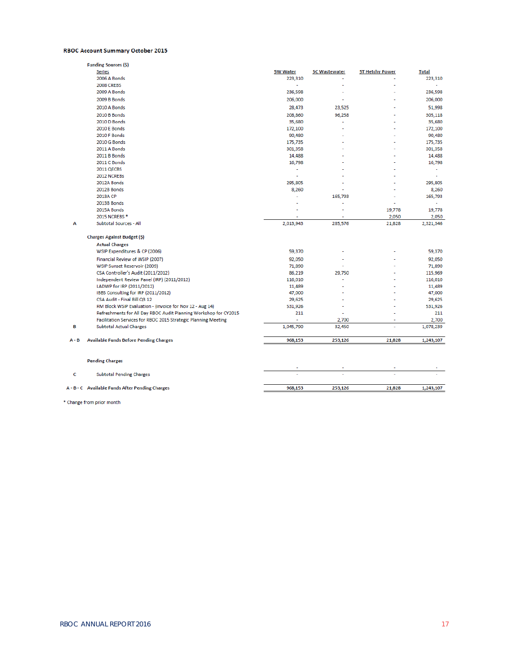#### RBOC Account Summary October 2015

|         | <b>Funding Sources (\$)</b>                                      |                 |                      |                        |                          |
|---------|------------------------------------------------------------------|-----------------|----------------------|------------------------|--------------------------|
|         | <b>Series</b>                                                    | <b>5W Water</b> | <b>5C Wastewater</b> | <b>5T Hetchy Power</b> | <b>Total</b>             |
|         | 2006 A Bonds                                                     | 223,310         |                      |                        | 223,310                  |
|         | <b>2008 CREBS</b>                                                | a.              |                      |                        |                          |
|         | 2009 A Bonds                                                     | 236,598         |                      |                        | 236,598                  |
|         | 2009 B Bonds                                                     | 206,000         |                      |                        | 206,000                  |
|         | 2010 A Bonds                                                     | 28,473          | 23,525               |                        | 51,998                   |
|         | 2010 B Bonds                                                     | 208,860         | 96,258               |                        | 305,118                  |
|         | 2010 D Bonds                                                     | 35,680          | $\overline{a}$       |                        | 35,680                   |
|         | <b>2010 E Bonds</b>                                              | 172,100         |                      |                        | 172,100                  |
|         | 2010 F Bonds                                                     | 90,480          |                      |                        | 90,480                   |
|         | 2010 G Bonds                                                     | 175,735         |                      |                        | 175,735                  |
|         | 2011 A Bonds                                                     | 301,358         |                      |                        | 301,358                  |
|         | 2011 B Bonds                                                     | 14,488          |                      |                        | 14,488                   |
|         | 2011 C Bonds                                                     | 16,798          |                      |                        | 16,798                   |
|         | 2011 QECBS                                                       | ٠               |                      |                        | ÷,                       |
|         | 2012 NCREBs                                                      | ÷,              |                      |                        | $\overline{\phantom{a}}$ |
|         | 2012A Bonds                                                      | 295,805         |                      |                        | 295,805                  |
|         | 2012B Bonds                                                      | 8,260           |                      |                        | 8,260                    |
|         | 2013A CP                                                         | L,              | 165,793              |                        | 165,793                  |
|         | 2013B Bonds                                                      |                 |                      |                        | ٠                        |
|         | 2015A Bonds                                                      |                 |                      | 19,778                 | 19,778                   |
|         | 2015 NCREBS *                                                    |                 |                      | 2,050                  | 2,050                    |
| А       | Subtotal Sources - All                                           | 2,013,943       | 285,576              | 21,828                 | 2,321,346                |
|         | <b>Charges Against Budget (\$)</b>                               |                 |                      |                        |                          |
|         | <b>Actual Charges</b>                                            |                 |                      |                        |                          |
|         | WSIP Expenditures & CP (2006)                                    | 59,370          |                      |                        | 59,370                   |
|         | Financial Review of WSIP (2007)                                  | 92,050          |                      |                        | 92,050                   |
|         | WSIP Sunset Reservoir (2009)                                     | 71,890          |                      |                        | 71,890                   |
|         | CSA Controller's Audit (2011/2012)                               | 86,219          | 29,750               |                        | 115,969                  |
|         | Independent Review Panel (IRP) (2011/2012)                       | 116,010         |                      |                        | 116,010                  |
|         | LADWP for IRP (2011/2012)                                        | 11,489          |                      |                        | 11,489                   |
|         | IBBS Consulting for IRP (2011/2012)                              | 47,000          |                      |                        | 47,000                   |
|         | CSA Audit - Final Bill Q3 12                                     | 29,625          |                      |                        | 29,625                   |
|         | RM Block WSIP Evaluation - (invoice for Nov 12 - Aug 14)         | 531,926         |                      |                        | 531,926                  |
|         | Refreshments for All Day RBOC Audit Planning Workshop for CY2015 | 211             | $\overline{a}$       |                        | 211                      |
|         | Facilitation Services for RBOC 2015 Strategic Planning Meeting   | ÷.              | 2,700                | $\overline{a}$         | 2,700                    |
| В       | <b>Subtotal Actual Charges</b>                                   | 1,045,790       | 32,450               | ä,                     | 1,078,239                |
|         |                                                                  |                 |                      |                        |                          |
| $A - B$ | <b>Available Funds Before Pending Charges</b>                    | 968,153         | 253,126              | 21,828                 | 1,243,107                |
|         | <b>Pending Charges</b>                                           |                 |                      |                        |                          |
|         |                                                                  |                 |                      |                        |                          |
| c       | <b>Subtotal Pending Charges</b>                                  |                 |                      |                        |                          |
|         | A - B - C Available Funds After Pending Charges                  | 968,153         | 253,126              | 21,828                 | 1,243,107                |
|         |                                                                  |                 |                      |                        |                          |

\* Change from prior month